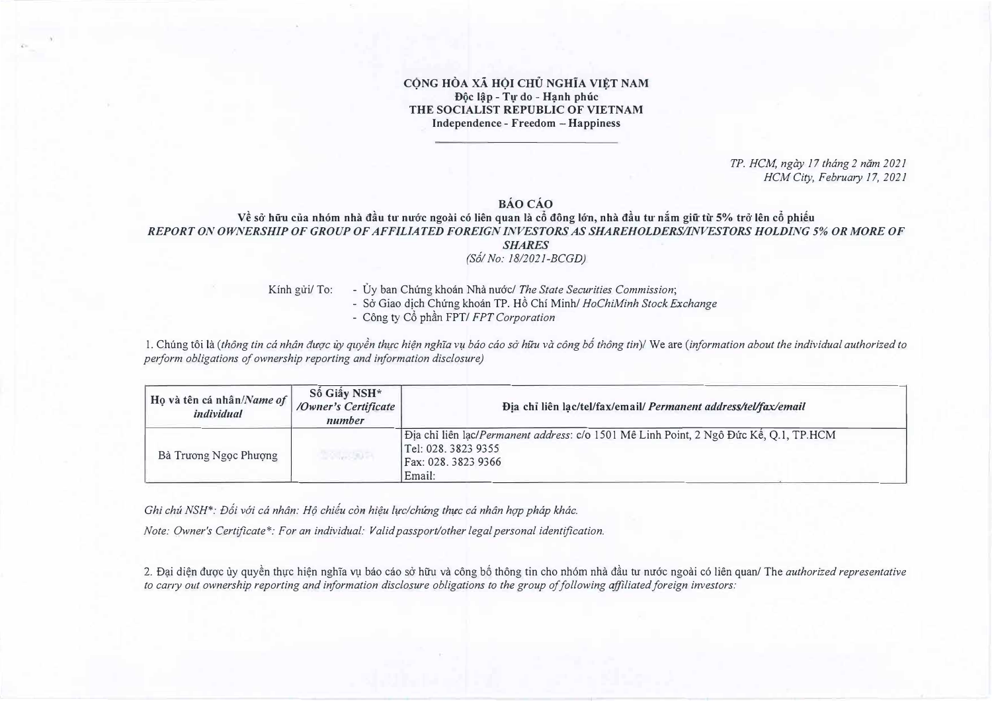## **CÔNG HÒA XÃ HỘI CHỦ NGHĨA VIẾT NAM Dôc lâp - Tu do - Hanh phúc THE SOCIALIST REPUBLIC OF VIETNAM Independence - Freedom - Happiness**

*TP. HCM, ngay 17 thang 2 niim 2021 HCM City, February 17, 2021* 

## **BAocAo**

**V� so- hii'u cua nh6m nha d§u tu· nu·o·c ngoai c6 lien quan la c6 dong I6·n, nha d§u tu· n:im giii'** *tir* **5% tro· len c6 phi�u**  *REPORT ON OWNERSHIP OF GROUP OF AFFILIATED FOREIGN INVESTORS AS SHAREHOLDERS/INVESTORS HOLDING* **5%** *OR MORE OF SHARES* 

*(S6! No: 1812021-BCGD)* 

- Kinh gửi/ To: Ủy ban Chứng khoán Nhà nước/ The State Securities Commission;
	- So Giao dicb Chung khoan TP. H6 Chi Minh/ *HoChiMinh Stock Exchange*
	- Công ty Cổ phần FPT/ *FPT Corporation*

1. Chung toi *la (thong tin ca nhan att(JC uy quy§n thl:(C hi¢n nghla v� bao cao so· huu va cong b6 thong tin)/* We are *(information about the individual authorized to perform obligations of ownership reporting and information disclosure)*

| Họ và tên cá nhân/Name of<br>individual | Số Giây NSH*<br>/Owner's Certificate<br>number | Địa chỉ liên lạc/tel/fax/email/ Permanent address/tel/fax/email                                                                               |
|-----------------------------------------|------------------------------------------------|-----------------------------------------------------------------------------------------------------------------------------------------------|
| Bà Trương Ngọc Phượng                   | <b>BAULONE</b>                                 | Dia chi liên lac/Permanent address: c/o 1501 Mê Linh Point, 2 Ngô Đức Kế, Q.1, TP.HCM<br>Tel: 028, 3823 9355<br>Fax: 028. 3823 9366<br>Email: |

*Ghi chú NSH\*: Đối với cá nhân: Hô chiếu còn hiêu lưc/chứng thực cá nhân hợp pháp khác.* 

*Note: Owner's Certificate\*: For an individual: Valid passport/other legal personal identification.* 

2. Đại diện được ủy quyền thực hiện nghĩa vụ báo cáo sở hữu và công bố thông tin cho nhóm nhà đầu tu nước ngoài có liên quan/ The *authorized representative to cany out ownership reporting and information disclosure obligations to the group of following affiliated foreign investors:*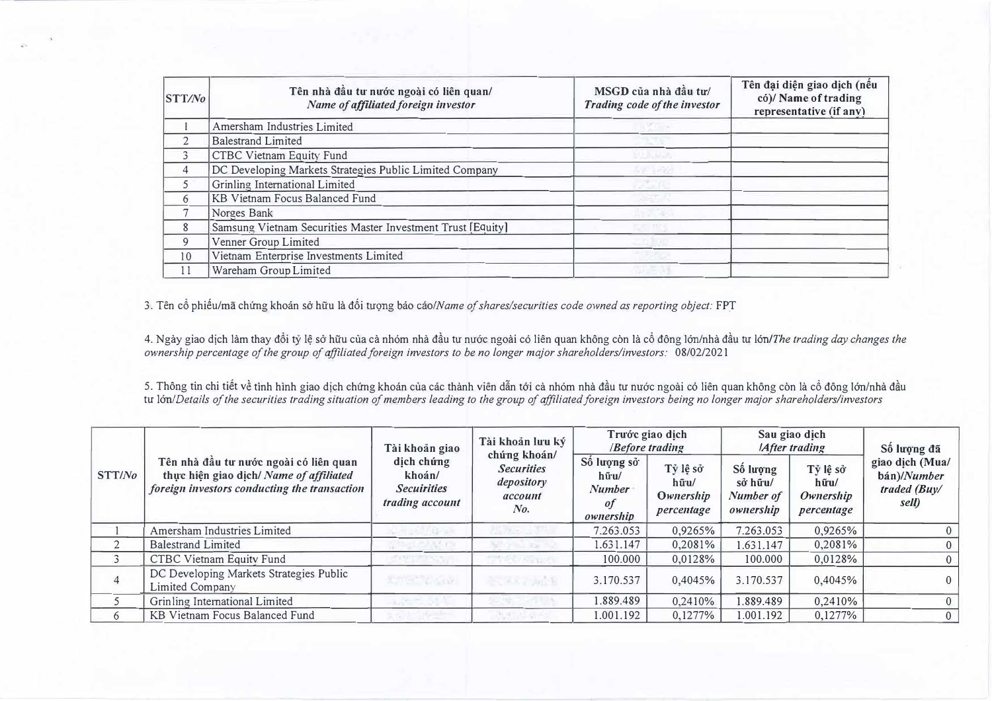| <b>STT/No</b>           | Tên nhà đầu tư nước ngoài có liên quan/<br>Name of affiliated foreign investor | MSGD của nhà đầu tư/<br>Trading code of the investor | Tên đại diện giao dịch (nếu<br>có)/ Name of trading<br>representative (if any) |  |  |
|-------------------------|--------------------------------------------------------------------------------|------------------------------------------------------|--------------------------------------------------------------------------------|--|--|
|                         | Amersham Industries Limited                                                    |                                                      |                                                                                |  |  |
| 2                       | <b>Balestrand Limited</b>                                                      |                                                      |                                                                                |  |  |
| $\overline{\mathbf{3}}$ | CTBC Vietnam Equity Fund                                                       |                                                      |                                                                                |  |  |
| $\overline{4}$          | DC Developing Markets Strategies Public Limited Company                        |                                                      |                                                                                |  |  |
| 5                       | Grinling International Limited                                                 |                                                      |                                                                                |  |  |
| 6                       | KB Vietnam Focus Balanced Fund                                                 |                                                      |                                                                                |  |  |
|                         | Norges Bank                                                                    |                                                      |                                                                                |  |  |
| 8                       | Samsung Vietnam Securities Master Investment Trust [Equity]                    |                                                      |                                                                                |  |  |
| 9                       | Venner Group Limited                                                           |                                                      |                                                                                |  |  |
| 10                      | Vietnam Enterprise Investments Limited                                         |                                                      |                                                                                |  |  |
| 11                      | Wareham Group Limited                                                          |                                                      |                                                                                |  |  |

3. Tên cổ phiếu/mã chứng khoán sở hữu là đối tuọng báo cáo/*Name of shares/securities code owned as reporting object:* FPT

4. Ngày giao dịch làm thay đổi tỷ lệ sở hữu của cà nhóm nhà đầu tư nước ngoài có liên quan không còn là cổ đông lớn/nhà đầu tư lớn/*The trading day changes the ownership percentage of the group of affiliated foreign investors to be no longer major shareholders/investors:* 08/02/2021

5. Thông tin chi tiết về tình hình giao dịch chứng khoán của các thành viên dẫn tới cà nhóm nhà đầu tư nước ngoài có liên quan không còn là cổ đông lớn/nhà đầu *tu Ion/Details of the securities trading situation of members leading to the group of affiliated foreign investors being no longer major shareholders/investors* 

| STT/No |                                                                                                                                   | Tài khoản giao<br>dịch chứng<br>khoán/<br><b>Secuirities</b><br>trading account | Tài khoản lưu ký<br>chúng khoán/<br><b>Securities</b><br>depository<br>account<br>No. | Trước giao dịch<br><b><i>Before trading</i></b>                     |                                                      | Sau giao dịch<br><b>IAfter trading</b>        |                                             | Số lượng đã                                             |
|--------|-----------------------------------------------------------------------------------------------------------------------------------|---------------------------------------------------------------------------------|---------------------------------------------------------------------------------------|---------------------------------------------------------------------|------------------------------------------------------|-----------------------------------------------|---------------------------------------------|---------------------------------------------------------|
|        | Tên nhà đầu tư nước ngoài có liên quan<br>thực hiện giao dịch/ Name of affiliated<br>foreign investors conducting the transaction |                                                                                 |                                                                                       | Số lượng sở<br>$h\tilde{u}$ ·u/<br><b>Number</b><br>0f<br>ownership | Tỷ lệ sở<br>$h\bar{u}$ u/<br>Ownership<br>percentage | Số lượng<br>sở hữu/<br>Number of<br>ownership | Tỷ lệ sở<br>hữu/<br>Ownership<br>percentage | giao dịch (Mua/<br>bán)/Number<br>traded (Buy/<br>sell) |
|        | Amersham Industries Limited                                                                                                       |                                                                                 |                                                                                       | 7.263.053                                                           | 0,9265%                                              | 7.263.053                                     | 0,9265%                                     | 0                                                       |
|        | <b>Balestrand Limited</b>                                                                                                         |                                                                                 |                                                                                       | 1.631.147                                                           | 0,2081%                                              | 1.631.147                                     | 0,2081%                                     | $\overline{0}$                                          |
|        | CTBC Vietnam Equity Fund                                                                                                          |                                                                                 |                                                                                       | 100.000                                                             | 0,0128%                                              | 100.000                                       | 0,0128%                                     | $\overline{0}$                                          |
| 4      | DC Developing Markets Strategies Public<br>Limited Company                                                                        | KUTH Y GOV.                                                                     | 25.7475649                                                                            | 3.170.537                                                           | 0,4045%                                              | 3.170.537                                     | 0,4045%                                     | $\Omega$                                                |
|        | Grinling International Limited                                                                                                    |                                                                                 |                                                                                       | .889.489                                                            | 0,2410%                                              | 1.889.489                                     | 0,2410%                                     | $\boldsymbol{0}$                                        |
| 6      | KB Vietnam Focus Balanced Fund                                                                                                    |                                                                                 |                                                                                       | 1.001.192                                                           | 0,1277%                                              | 1.001.192                                     | $0.1277\%$                                  | $\overline{0}$                                          |